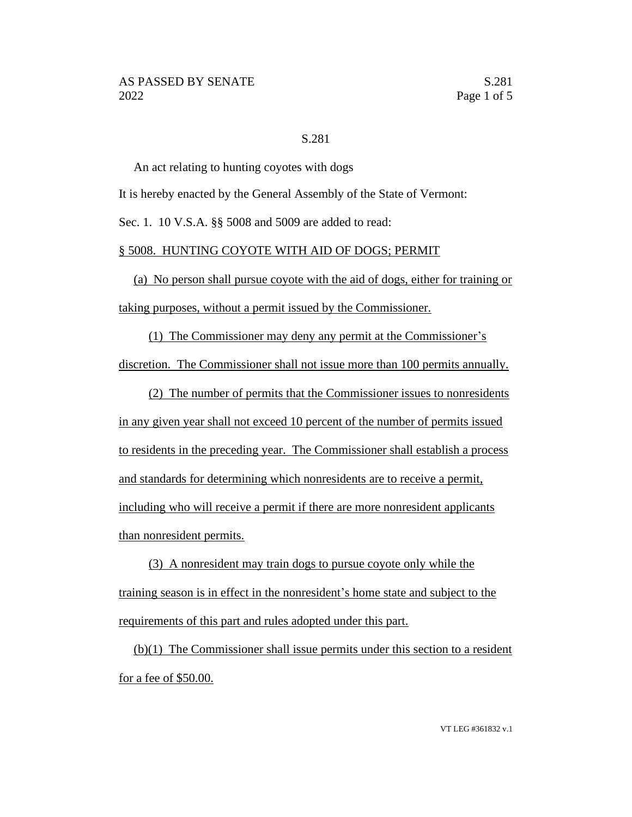## S.281

An act relating to hunting coyotes with dogs

It is hereby enacted by the General Assembly of the State of Vermont:

Sec. 1. 10 V.S.A. §§ 5008 and 5009 are added to read:

## § 5008. HUNTING COYOTE WITH AID OF DOGS; PERMIT

(a) No person shall pursue coyote with the aid of dogs, either for training or taking purposes, without a permit issued by the Commissioner.

(1) The Commissioner may deny any permit at the Commissioner's

discretion. The Commissioner shall not issue more than 100 permits annually.

(2) The number of permits that the Commissioner issues to nonresidents in any given year shall not exceed 10 percent of the number of permits issued to residents in the preceding year. The Commissioner shall establish a process and standards for determining which nonresidents are to receive a permit, including who will receive a permit if there are more nonresident applicants than nonresident permits.

(3) A nonresident may train dogs to pursue coyote only while the training season is in effect in the nonresident's home state and subject to the requirements of this part and rules adopted under this part.

(b)(1) The Commissioner shall issue permits under this section to a resident for a fee of \$50.00.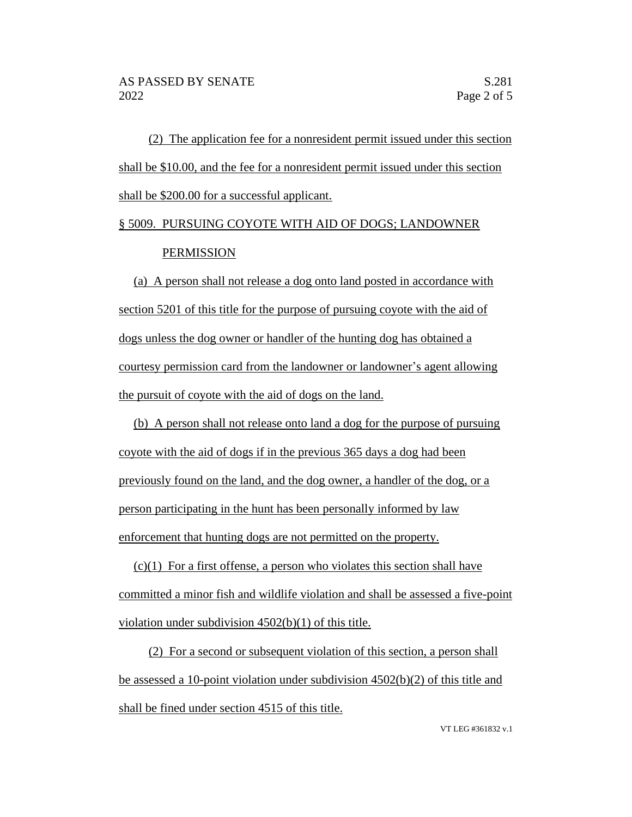(2) The application fee for a nonresident permit issued under this section shall be \$10.00, and the fee for a nonresident permit issued under this section shall be \$200.00 for a successful applicant.

## § 5009. PURSUING COYOTE WITH AID OF DOGS; LANDOWNER PERMISSION

(a) A person shall not release a dog onto land posted in accordance with section 5201 of this title for the purpose of pursuing coyote with the aid of dogs unless the dog owner or handler of the hunting dog has obtained a courtesy permission card from the landowner or landowner's agent allowing the pursuit of coyote with the aid of dogs on the land.

(b) A person shall not release onto land a dog for the purpose of pursuing coyote with the aid of dogs if in the previous 365 days a dog had been previously found on the land, and the dog owner, a handler of the dog, or a person participating in the hunt has been personally informed by law enforcement that hunting dogs are not permitted on the property.

 $(c)(1)$  For a first offense, a person who violates this section shall have committed a minor fish and wildlife violation and shall be assessed a five-point violation under subdivision 4502(b)(1) of this title.

(2) For a second or subsequent violation of this section, a person shall be assessed a 10-point violation under subdivision 4502(b)(2) of this title and shall be fined under section 4515 of this title.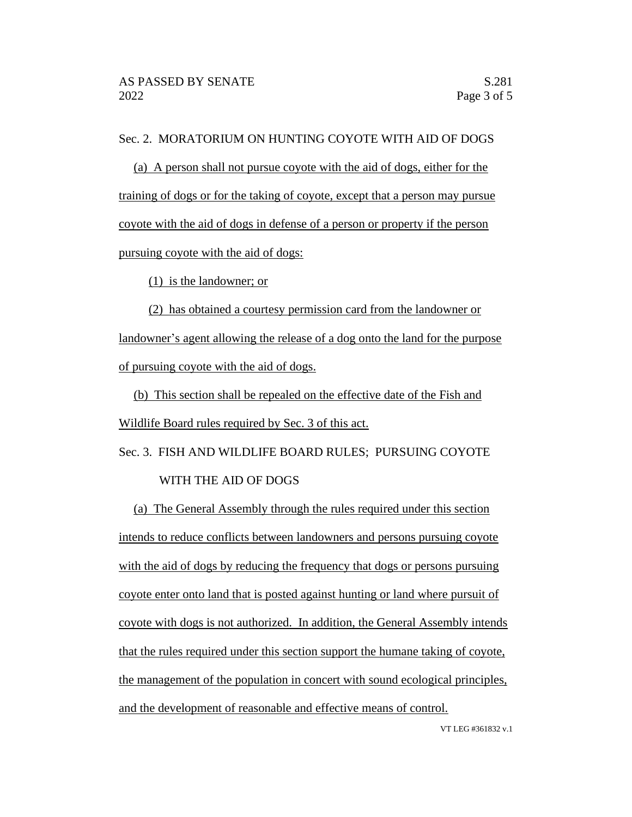## Sec. 2. MORATORIUM ON HUNTING COYOTE WITH AID OF DOGS

(a) A person shall not pursue coyote with the aid of dogs, either for the training of dogs or for the taking of coyote, except that a person may pursue coyote with the aid of dogs in defense of a person or property if the person pursuing coyote with the aid of dogs:

(1) is the landowner; or

(2) has obtained a courtesy permission card from the landowner or landowner's agent allowing the release of a dog onto the land for the purpose of pursuing coyote with the aid of dogs.

(b) This section shall be repealed on the effective date of the Fish and Wildlife Board rules required by Sec. 3 of this act.

Sec. 3. FISH AND WILDLIFE BOARD RULES; PURSUING COYOTE WITH THE AID OF DOGS

(a) The General Assembly through the rules required under this section intends to reduce conflicts between landowners and persons pursuing coyote with the aid of dogs by reducing the frequency that dogs or persons pursuing coyote enter onto land that is posted against hunting or land where pursuit of coyote with dogs is not authorized. In addition, the General Assembly intends that the rules required under this section support the humane taking of coyote, the management of the population in concert with sound ecological principles, and the development of reasonable and effective means of control.

VT LEG #361832 v.1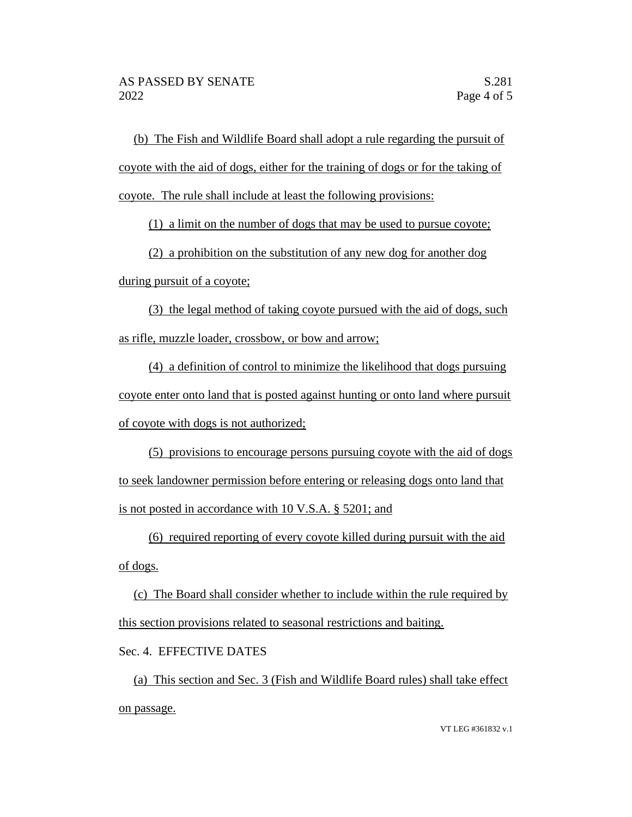(b) The Fish and Wildlife Board shall adopt a rule regarding the pursuit of coyote with the aid of dogs, either for the training of dogs or for the taking of coyote. The rule shall include at least the following provisions:

(1) a limit on the number of dogs that may be used to pursue coyote;

(2) a prohibition on the substitution of any new dog for another dog

during pursuit of a coyote;

(3) the legal method of taking coyote pursued with the aid of dogs, such as rifle, muzzle loader, crossbow, or bow and arrow;

(4) a definition of control to minimize the likelihood that dogs pursuing coyote enter onto land that is posted against hunting or onto land where pursuit of coyote with dogs is not authorized;

(5) provisions to encourage persons pursuing coyote with the aid of dogs to seek landowner permission before entering or releasing dogs onto land that is not posted in accordance with 10 V.S.A. § 5201; and

(6) required reporting of every coyote killed during pursuit with the aid of dogs.

(c) The Board shall consider whether to include within the rule required by this section provisions related to seasonal restrictions and baiting.

Sec. 4. EFFECTIVE DATES

(a) This section and Sec. 3 (Fish and Wildlife Board rules) shall take effect on passage.